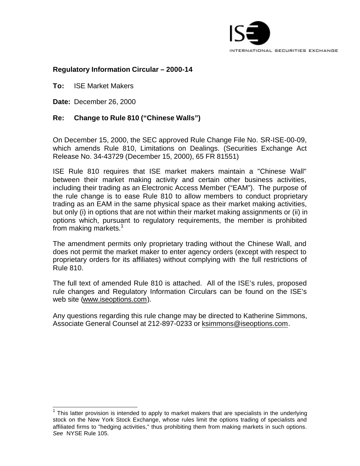

## **Regulatory Information Circular – 2000-14**

**To:** ISE Market Makers

**Date:** December 26, 2000

l

## **Re: Change to Rule 810 ("Chinese Walls")**

On December 15, 2000, the SEC approved Rule Change File No. SR-ISE-00-09, which amends Rule 810, Limitations on Dealings. (Securities Exchange Act Release No. 34-43729 (December 15, 2000), 65 FR 81551)

ISE Rule 810 requires that ISE market makers maintain a "Chinese Wall" between their market making activity and certain other business activities, including their trading as an Electronic Access Member ("EAM"). The purpose of the rule change is to ease Rule 810 to allow members to conduct proprietary trading as an EAM in the same physical space as their market making activities, but only (i) in options that are not within their market making assignments or (ii) in options which, pursuant to regulatory requirements, the member is prohibited from making markets. $1$ 

The amendment permits only proprietary trading without the Chinese Wall, and does not permit the market maker to enter agency orders (except with respect to proprietary orders for its affiliates) without complying with the full restrictions of Rule 810.

The full text of amended Rule 810 is attached. All of the ISE's rules, proposed rule changes and Regulatory Information Circulars can be found on the ISE's web site (www.iseoptions.com).

Any questions regarding this rule change may be directed to Katherine Simmons, Associate General Counsel at 212-897-0233 or ksimmons@iseoptions.com.

 $1$  This latter provision is intended to apply to market makers that are specialists in the underlying stock on the New York Stock Exchange, whose rules limit the options trading of specialists and affiliated firms to "hedging activities," thus prohibiting them from making markets in such options. *See* NYSE Rule 105.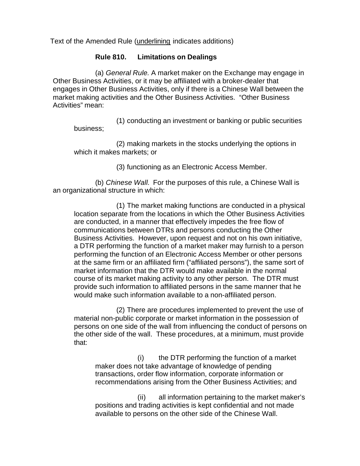Text of the Amended Rule (underlining indicates additions)

## **Rule 810. Limitations on Dealings**

(a) *General Rule.* A market maker on the Exchange may engage in Other Business Activities, or it may be affiliated with a broker-dealer that engages in Other Business Activities, only if there is a Chinese Wall between the market making activities and the Other Business Activities. "Other Business Activities" mean:

(1) conducting an investment or banking or public securities business;

(2) making markets in the stocks underlying the options in which it makes markets; or

(3) functioning as an Electronic Access Member.

(b) *Chinese Wall.* For the purposes of this rule, a Chinese Wall is an organizational structure in which:

(1) The market making functions are conducted in a physical location separate from the locations in which the Other Business Activities are conducted, in a manner that effectively impedes the free flow of communications between DTRs and persons conducting the Other Business Activities. However, upon request and not on his own initiative, a DTR performing the function of a market maker may furnish to a person performing the function of an Electronic Access Member or other persons at the same firm or an affiliated firm ("affiliated persons"), the same sort of market information that the DTR would make available in the normal course of its market making activity to any other person. The DTR must provide such information to affiliated persons in the same manner that he would make such information available to a non-affiliated person.

(2) There are procedures implemented to prevent the use of material non-public corporate or market information in the possession of persons on one side of the wall from influencing the conduct of persons on the other side of the wall. These procedures, at a minimum, must provide that:

(i) the DTR performing the function of a market maker does not take advantage of knowledge of pending transactions, order flow information, corporate information or recommendations arising from the Other Business Activities; and

(ii) all information pertaining to the market maker's positions and trading activities is kept confidential and not made available to persons on the other side of the Chinese Wall.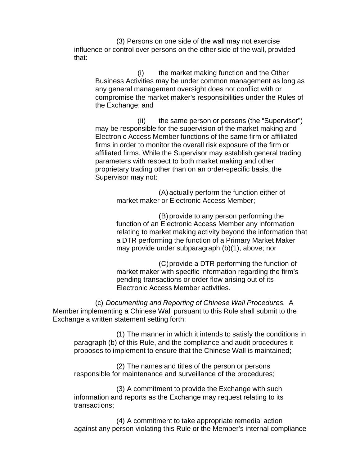(3) Persons on one side of the wall may not exercise influence or control over persons on the other side of the wall, provided that:

(i) the market making function and the Other Business Activities may be under common management as long as any general management oversight does not conflict with or compromise the market maker's responsibilities under the Rules of the Exchange; and

(ii) the same person or persons (the "Supervisor") may be responsible for the supervision of the market making and Electronic Access Member functions of the same firm or affiliated firms in order to monitor the overall risk exposure of the firm or affiliated firms. While the Supervisor may establish general trading parameters with respect to both market making and other proprietary trading other than on an order-specific basis, the Supervisor may not:

> (A) actually perform the function either of market maker or Electronic Access Member;

(B) provide to any person performing the function of an Electronic Access Member any information relating to market making activity beyond the information that a DTR performing the function of a Primary Market Maker may provide under subparagraph (b)(1), above; nor

(C)provide a DTR performing the function of market maker with specific information regarding the firm's pending transactions or order flow arising out of its Electronic Access Member activities.

(c) *Documenting and Reporting of Chinese Wall Procedures.* A Member implementing a Chinese Wall pursuant to this Rule shall submit to the Exchange a written statement setting forth:

(1) The manner in which it intends to satisfy the conditions in paragraph (b) of this Rule, and the compliance and audit procedures it proposes to implement to ensure that the Chinese Wall is maintained;

(2) The names and titles of the person or persons responsible for maintenance and surveillance of the procedures;

(3) A commitment to provide the Exchange with such information and reports as the Exchange may request relating to its transactions;

(4) A commitment to take appropriate remedial action against any person violating this Rule or the Member's internal compliance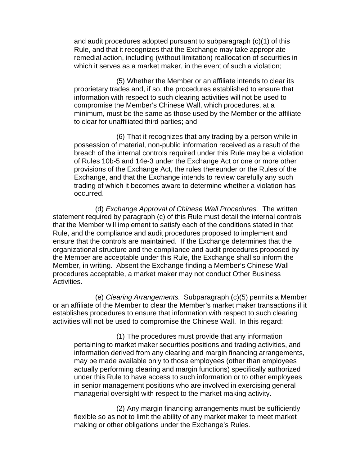and audit procedures adopted pursuant to subparagraph (c)(1) of this Rule, and that it recognizes that the Exchange may take appropriate remedial action, including (without limitation) reallocation of securities in which it serves as a market maker, in the event of such a violation;

(5) Whether the Member or an affiliate intends to clear its proprietary trades and, if so, the procedures established to ensure that information with respect to such clearing activities will not be used to compromise the Member's Chinese Wall, which procedures, at a minimum, must be the same as those used by the Member or the affiliate to clear for unaffiliated third parties; and

(6) That it recognizes that any trading by a person while in possession of material, non-public information received as a result of the breach of the internal controls required under this Rule may be a violation of Rules 10b-5 and 14e-3 under the Exchange Act or one or more other provisions of the Exchange Act, the rules thereunder or the Rules of the Exchange, and that the Exchange intends to review carefully any such trading of which it becomes aware to determine whether a violation has occurred.

(d) *Exchange Approval of Chinese Wall Procedures.* The written statement required by paragraph (c) of this Rule must detail the internal controls that the Member will implement to satisfy each of the conditions stated in that Rule, and the compliance and audit procedures proposed to implement and ensure that the controls are maintained. If the Exchange determines that the organizational structure and the compliance and audit procedures proposed by the Member are acceptable under this Rule, the Exchange shall so inform the Member, in writing. Absent the Exchange finding a Member's Chinese Wall procedures acceptable, a market maker may not conduct Other Business Activities.

(e) *Clearing Arrangements.* Subparagraph (c)(5) permits a Member or an affiliate of the Member to clear the Member's market maker transactions if it establishes procedures to ensure that information with respect to such clearing activities will not be used to compromise the Chinese Wall. In this regard:

(1) The procedures must provide that any information pertaining to market maker securities positions and trading activities, and information derived from any clearing and margin financing arrangements, may be made available only to those employees (other than employees actually performing clearing and margin functions) specifically authorized under this Rule to have access to such information or to other employees in senior management positions who are involved in exercising general managerial oversight with respect to the market making activity.

(2) Any margin financing arrangements must be sufficiently flexible so as not to limit the ability of any market maker to meet market making or other obligations under the Exchange's Rules.